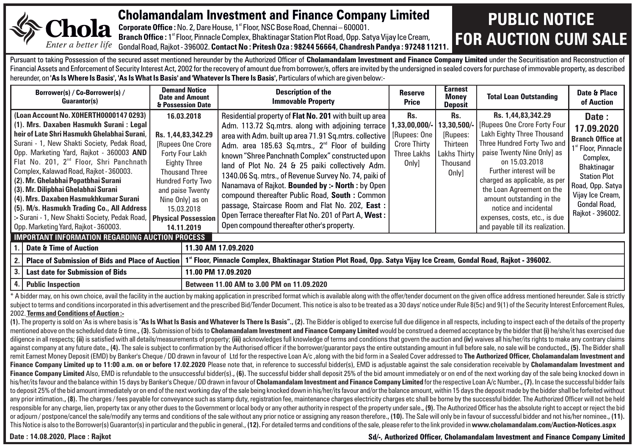

### Cholamandalam Investment and Finance Company Limited

**Corporate Office :** No. 2, Dare House, 1<sup>st</sup> Floor, NSC Bose Road, Chennai – 600001. **Branch Office :** 1<sup>st</sup> Floor, Pinnacle Complex, Bhaktinagar Station Plot Road, Opp. Satya Vijay Ice Cream, Gondal Road, Rajkot - 396002. **Contact No : Pritesh Oza : 98244 56664, Chandresh Pandya : 97248 11211.**

## **PUBLIC NOTICE FOR AUCTION CUM SALE**

Pursuant to taking Possession of the secured asset mentioned hereunder by the Authorized Officer of Cholamandalam Investment and Finance Company Limited under the Securitisation and Reconstruction of Financial Assets and Enforcement of Security Interest Act, 2002 for the recovery of amount due from borrower/s, offers are invited by the undersigned in sealed covers for purchase of immovable property, as described hereunder, on **'As Is Where Is Basis', 'As Is What Is Basis' and 'Whatever Is There Is Basis',** Particulars of which are given below:-

|                                                                                                                                                                                                                                                                                                                                                                                                                                                                                                                                                                                                             | Borrower(s) / Co-Borrower(s) /<br>Guarantor(s)         | <b>Demand Notice</b><br><b>Date and Amount</b><br>& Possession Date                                                                                                                                                                            | Description of the<br><b>Immovable Property</b>                                                                                                                                                                                                                                                                                                                                                                                                                                                                                                                                                                                                                            | Reserve<br>Price                                                                   | Earnest<br>Monev<br>Deposit                                                    | <b>Total Loan Outstanding</b>                                                                                                                                                                                                                                                                                                                                                        | Date & Place<br>of Auction                                                                                                                                                                                      |
|-------------------------------------------------------------------------------------------------------------------------------------------------------------------------------------------------------------------------------------------------------------------------------------------------------------------------------------------------------------------------------------------------------------------------------------------------------------------------------------------------------------------------------------------------------------------------------------------------------------|--------------------------------------------------------|------------------------------------------------------------------------------------------------------------------------------------------------------------------------------------------------------------------------------------------------|----------------------------------------------------------------------------------------------------------------------------------------------------------------------------------------------------------------------------------------------------------------------------------------------------------------------------------------------------------------------------------------------------------------------------------------------------------------------------------------------------------------------------------------------------------------------------------------------------------------------------------------------------------------------------|------------------------------------------------------------------------------------|--------------------------------------------------------------------------------|--------------------------------------------------------------------------------------------------------------------------------------------------------------------------------------------------------------------------------------------------------------------------------------------------------------------------------------------------------------------------------------|-----------------------------------------------------------------------------------------------------------------------------------------------------------------------------------------------------------------|
| (Loan Account No. XOHERTH0000147 0293)<br>(1). Mrs. Daxaben Hasmukh Surani : Legal<br>heir of Late Shri Hasmukh Ghelabhai Surani.<br>  Surani - 1, New Shakti Society, Pedak Road,  <br>Opp. Marketing Yard, Rajkot - 360003 AND<br>Flat No. 201, 2 <sup>nd</sup> Floor, Shri Panchnath<br>Complex, Kalawad Road, Rajkot - 360003.<br>  (2). Mr. Ghelabhai Popatbhai Surani  <br>  (3). Mr. Dilipbhai Ghelabhai Surani  <br>(4). Mrs. Daxaben Hasmukhkumar Surani<br>  (5). M/s. Hasmukh Trading Co., All Address  <br>Surani - 1, New Shakti Society, Pedak Road,<br>Opp. Marketing Yard, Rajkot - 360003. |                                                        | 16.03.2018<br>Rs. 1,44,83,342.29<br>Rupees One Crore<br>Forty Four Lakh<br><b>Eighty Three</b><br><b>Thousand Three</b><br>Hundred Forty Two<br>and paise Twenty<br>Nine Only) as on<br>15.03.2018<br><b>Physical Possession</b><br>14.11.2019 | Residential property of Flat No. 201 with built up area<br>Adm. 113.72 Sq.mtrs. along with adjoining terrace<br>area with Adm. built up area 71.91 Sq.mtrs. collective<br>Adm. area 185.63 Sq.mtrs., 2 <sup>nd</sup> Floor of building<br>known "Shree Panchnath Complex" constructed upon<br>land of Plot No. 24 & 25 paiki collectively Adm.<br>1340.06 Sq. mtrs., of Revenue Survey No. 74, paiki of  <br>Nanamava of Rajkot. Bounded by :- North : by Open<br>compound thereafter Public Road, South: Common<br>passage, Staircase Room and Flat No. 202, East:<br>Open Terrace thereafter Flat No. 201 of Part A, West:<br>Open compound thereafter other's property. | Rs.<br>,33,00,000/-<br>[Rupees: One<br><b>Crore Thirty</b><br>Three Lakhs<br>Only] | Rs.<br>13,30,500/<br>[Rupees:<br>Thirteen<br>Lakhs Thirtv<br>Thousand<br>Only] | Rs. 1,44,83,342.29<br>[Rupees One Crore Forty Four<br>Lakh Eighty Three Thousand<br>Three Hundred Forty Two and<br>paise Twenty Nine Only] as<br>on 15.03.2018<br>Further interest will be<br>charged as applicable, as per<br>the Loan Agreement on the<br>amount outstanding in the<br>notice and incidental<br>expenses, costs, etc., is due<br>and payable till its realization. | Date:<br>17.09.2020<br><b>Branch Office at</b><br>1 <sup>st</sup> Floor, Pinnacle<br>Complex,<br>Bhaktinagar<br><b>Station Plot</b><br>Road, Opp. Satya<br>Vijay Ice Cream,<br>Gondal Road,<br>Rajkot - 396002. |
|                                                                                                                                                                                                                                                                                                                                                                                                                                                                                                                                                                                                             | <b>IMPORTANT INFORMATION REGARDING AUCTION PROCESS</b> |                                                                                                                                                                                                                                                |                                                                                                                                                                                                                                                                                                                                                                                                                                                                                                                                                                                                                                                                            |                                                                                    |                                                                                |                                                                                                                                                                                                                                                                                                                                                                                      |                                                                                                                                                                                                                 |
|                                                                                                                                                                                                                                                                                                                                                                                                                                                                                                                                                                                                             | Date & Time of Auction                                 |                                                                                                                                                                                                                                                | 11.30 AM 17.09.2020                                                                                                                                                                                                                                                                                                                                                                                                                                                                                                                                                                                                                                                        |                                                                                    |                                                                                |                                                                                                                                                                                                                                                                                                                                                                                      |                                                                                                                                                                                                                 |
|                                                                                                                                                                                                                                                                                                                                                                                                                                                                                                                                                                                                             | 2.   Place of Submission of Bids and Place of Auction  |                                                                                                                                                                                                                                                | 1" Floor, Pinnacle Complex, Bhaktinagar Station Plot Road, Opp. Satya Vijay Ice Cream, Gondal Road, Rajkot - 396002.                                                                                                                                                                                                                                                                                                                                                                                                                                                                                                                                                       |                                                                                    |                                                                                |                                                                                                                                                                                                                                                                                                                                                                                      |                                                                                                                                                                                                                 |
| 3.<br><b>Last date for Submission of Bids</b><br>11.00 PM 17.09.2020                                                                                                                                                                                                                                                                                                                                                                                                                                                                                                                                        |                                                        |                                                                                                                                                                                                                                                |                                                                                                                                                                                                                                                                                                                                                                                                                                                                                                                                                                                                                                                                            |                                                                                    |                                                                                |                                                                                                                                                                                                                                                                                                                                                                                      |                                                                                                                                                                                                                 |
| 4. Public Inspection                                                                                                                                                                                                                                                                                                                                                                                                                                                                                                                                                                                        |                                                        |                                                                                                                                                                                                                                                | Between 11.00 AM to 3.00 PM on 11.09.2020                                                                                                                                                                                                                                                                                                                                                                                                                                                                                                                                                                                                                                  |                                                                                    |                                                                                |                                                                                                                                                                                                                                                                                                                                                                                      |                                                                                                                                                                                                                 |

\* A bidder may, on his own choice, avail the facility in the auction by making application in prescribed format which is available along with the offer/tender document on the given office address mentioned hereunder. Sale subject to terms and conditions incorporated in this advertisement and the prescribed Bid/Tender Document. This notice is also to be treated as a 30 days' notice under Rule 8(5c) and 9(1) of the Security Interest Enforceme 2002. **Terms and Conditions of Auction :-**

(1). The property is sold on 'As is where basis is "As Is What Is Basis and Whatever Is There Is Basis".. (2). The Bidder is obliged to exercise full due diligence in all respects, including to inspect each of the details mentioned above on the scheduled date & time., (3). Submission of bids to Cholamandalam Investment and Finance Company Limited would be construed a deemed acceptance by the bidder that (i) he/she/it has exercised due diligence in all respects: (ii) is satisfied with all details/measurements of property: (iii) acknowledges full knowledge of terms and conditions that govern the auction and (iv) waives all his/her/its rights to make any c against company at any future date., (4). The sale is subject to confirmation by the Authorised officer if the borrower/quarantor pays the entire outstanding amount in full before sale, no sale will be conducted., (5). The remit Earnest Money Deposit (EMD) by Banker's Cheque / DD drawn in favour of Ltd for the respective Loan A/c, along with the bid form in a Sealed Cover addressed to The Authorized Officer, Cholamandalam Investment and Finance Company Limited up to 11:00 a.m. on or before 17.02.2020 Please note that. in reference to successful bidder(s). EMD is adiustable against the sale consideration receivable by Cholamandalam Investment and Finance Company Limited Also, EMD is refundable to the unsuccessful bidder(s)., (6). The successful bidder shall deposit 25% of the bid amount immediately or on end of the next working day of the sale being knocked down in his/her/its favour and the balance within 15 days by Banker's Cheque/DD drawn in favour of Cholamandalam Investment and Finance Company Limited for the respective Loan A/c Number., (7). In case the successful bidder fails to deposit 25% of the bid amount immediately or on end of the next working day of the sale being knocked down in his/her/its fayour and/or the balance amount, within 15 days the deposit made by the bidder shall be forfeite any prior intimation. (8). The charges / fees payable for conveyance such as stamp duty, registration fee, maintenance charges electricity charges etc shall be borne by the successful bidder. The Authorized Officer will no responsible for any charge, lien, property tax or any other dues to the Government or local body or any other authority in respect of the property under sale., (9). The Authorized Officer has the absolute right to accept o or adiourn / postpone/cancel the sale/modify any terms and conditions of the sale without any prior notice or assigning any reason therefore.. (10). The Sale will only be in fayour of successful bidder and not his/her nomi This Notice is also to the Borrower(s) Guarantor(s) in particular and the public in general., (12). For detailed terms and conditions of the sale, please refer to the link provided in www.cholamandalam.com/Auction-Notices.

Date : 14.08.2020, Place : Raikot **Superint Company Limited** Superint States of Sd<sup>/-</sup>, Authorized Officer, Cholamandalam Investment and Finance Company Limited